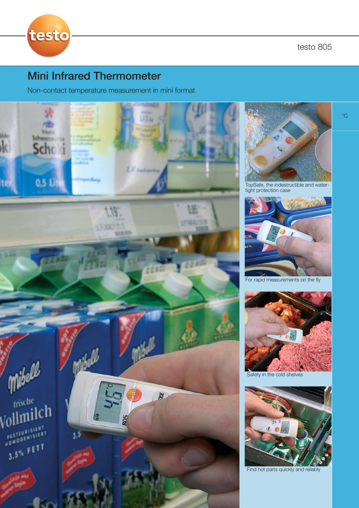testo 805



# Mini Infrared Thermometer

Non-contact temperature measurement in mini format